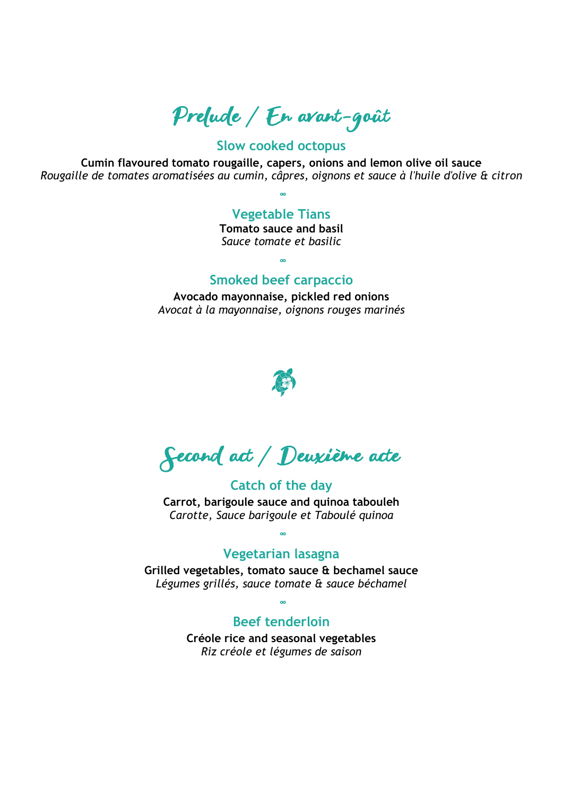## Prelude / En avant-goût

### **Slow cooked octopus**

**Cumin flavoured tomato rougaille, capers, onions and lemon olive oil sauce** *Rougaille de tomates aromatisées au cumin, câpres, oignons et sauce à l'huile d'olive & citron*

**∞**

### **Vegetable Tians**

**Tomato sauce and basil** *Sauce tomate et basilic*

### **Smoked beef carpaccio**

**∞**

**Avocado mayonnaise, pickled red onions** *Avocat à la mayonnaise, oignons rouges marinés*



Second act / Deuxième acte

**Catch of the day Carrot, barigoule sauce and quinoa tabouleh** *Carotte, Sauce barigoule et Taboulé quinoa*

### **Vegetarian lasagna**

**∞**

**Grilled vegetables, tomato sauce & bechamel sauce** *Légumes grillés, sauce tomate & sauce béchamel*

**∞**

### **Beef tenderloin**

**Créole rice and seasonal vegetables** *Riz créole et légumes de saison*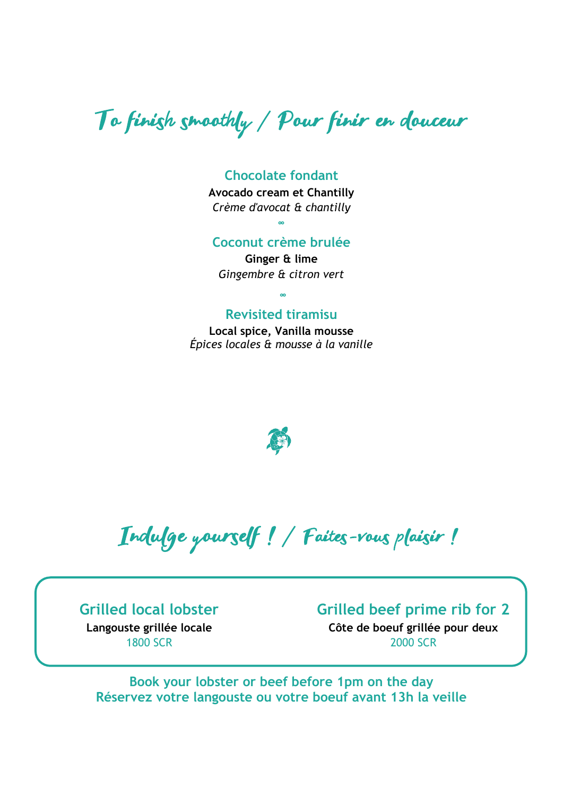# To finish smoothly / Pour finir en douceur

#### **Chocolate fondant**

**Avocado cream et Chantilly** *Crème d'avocat & chantilly*  **∞**

### **Coconut crème brulée**

**Ginger & lime** *Gingembre & citron vert*

**∞**

#### **Revisited tiramisu**

**Local spice, Vanilla mousse** *Épices locales & mousse à la vanille*



l, Indulge yourself ! / Faites-vous plaisir !

**Grilled local lobster**

**Langouste grillée locale** 1800 SCR

### **Grilled beef prime rib for 2**

**Côte de boeuf grillée pour deux** 2000 SCR

**Book your lobster or beef before 1pm on the day Réservez votre langouste ou votre boeuf avant 13h la veille**